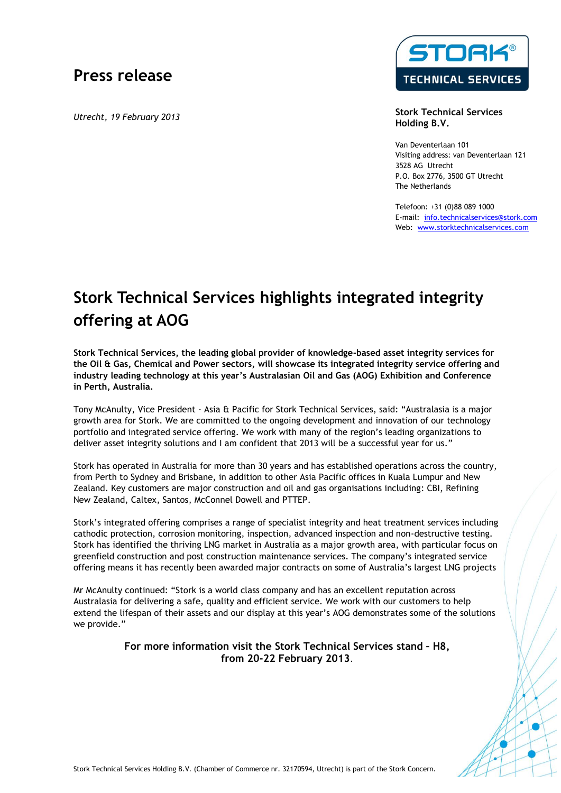## **Press release**

*Utrecht, 19 February 2013*



**Stork Technical Services Holding B.V.**

Van Deventerlaan 101 Visiting address: van Deventerlaan 121 3528 AG Utrecht P.O. Box 2776, 3500 GT Utrecht The Netherlands

Telefoon: +31 (0)88 089 1000 E-mail: info.technicalservices@stork.com Web: www.storktechnicalservices.com

## **Stork Technical Services highlights integrated integrity offering at AOG**

**Stork Technical Services, the leading global provider of knowledge-based asset integrity services for the Oil & Gas, Chemical and Power sectors, will showcase its integrated integrity service offering and industry leading technology at this year's Australasian Oil and Gas (AOG) Exhibition and Conference in Perth, Australia.**

Tony McAnulty, Vice President - Asia & Pacific for Stork Technical Services, said: "Australasia is a major growth area for Stork. We are committed to the ongoing development and innovation of our technology portfolio and integrated service offering. We work with many of the region's leading organizations to deliver asset integrity solutions and I am confident that 2013 will be a successful year for us."

Stork has operated in Australia for more than 30 years and has established operations across the country, from Perth to Sydney and Brisbane, in addition to other Asia Pacific offices in Kuala Lumpur and New Zealand. Key customers are major construction and oil and gas organisations including: CBI, Refining New Zealand, Caltex, Santos, McConnel Dowell and PTTEP.

Stork's integrated offering comprises a range of specialist integrity and heat treatment services including cathodic protection, corrosion monitoring, inspection, advanced inspection and non-destructive testing. Stork has identified the thriving LNG market in Australia as a major growth area, with particular focus on greenfield construction and post construction maintenance services. The company's integrated service offering means it has recently been awarded major contracts on some of Australia's largest LNG projects

Mr McAnulty continued: "Stork is a world class company and has an excellent reputation across Australasia for delivering a safe, quality and efficient service. We work with our customers to help extend the lifespan of their assets and our display at this year's AOG demonstrates some of the solutions we provide."

## **For more information visit the Stork Technical Services stand – H8, from 20-22 February 2013**.